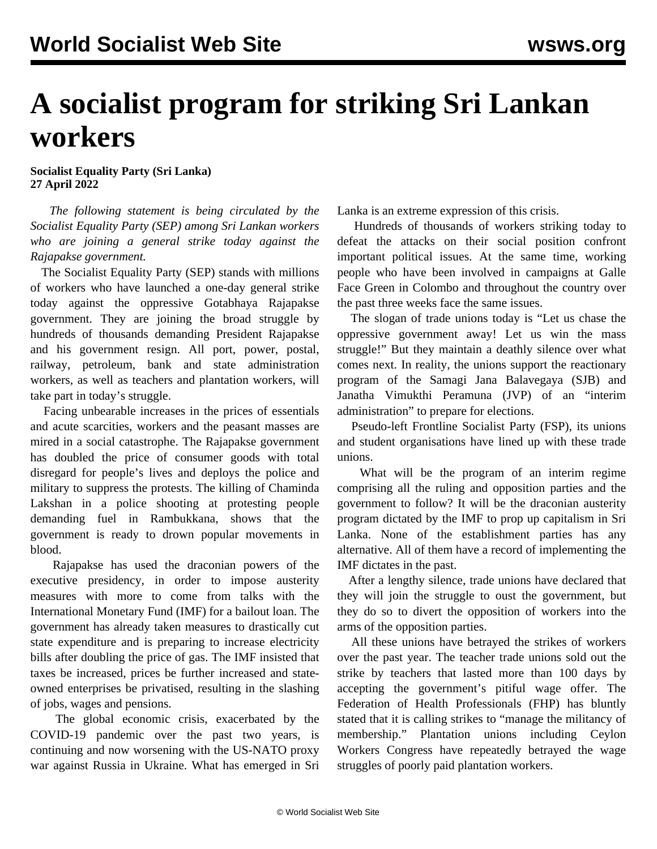## **A socialist program for striking Sri Lankan workers**

## **Socialist Equality Party (Sri Lanka) 27 April 2022**

 *The following statement is being circulated by the Socialist Equality Party (SEP) among Sri Lankan workers who are joining a general strike today against the Rajapakse government.*

 The Socialist Equality Party (SEP) stands with millions of workers who have launched a one-day general strike today against the oppressive Gotabhaya Rajapakse government. They are joining the broad struggle by hundreds of thousands demanding President Rajapakse and his government resign. All port, power, postal, railway, petroleum, bank and state administration workers, as well as teachers and plantation workers, will take part in today's struggle.

 Facing unbearable increases in the prices of essentials and acute scarcities, workers and the peasant masses are mired in a social catastrophe. The Rajapakse government has doubled the price of consumer goods with total disregard for people's lives and deploys the police and military to suppress the protests. The killing of Chaminda Lakshan in a police shooting at protesting people demanding fuel in Rambukkana, shows that the government is ready to drown popular movements in blood.

 Rajapakse has used the draconian powers of the executive presidency, in order to impose austerity measures with more to come from talks with the International Monetary Fund (IMF) for a bailout loan. The government has already taken measures to drastically cut state expenditure and is preparing to increase electricity bills after doubling the price of gas. The IMF insisted that taxes be increased, prices be further increased and stateowned enterprises be privatised, resulting in the slashing of jobs, wages and pensions.

 The global economic crisis, exacerbated by the COVID-19 pandemic over the past two years, is continuing and now worsening with the US-NATO proxy war against Russia in Ukraine. What has emerged in Sri Lanka is an extreme expression of this crisis.

 Hundreds of thousands of workers striking today to defeat the attacks on their social position confront important political issues. At the same time, working people who have been involved in campaigns at Galle Face Green in Colombo and throughout the country over the past three weeks face the same issues.

 The slogan of trade unions today is "Let us chase the oppressive government away! Let us win the mass struggle!" But they maintain a deathly silence over what comes next. In reality, the unions support the reactionary program of the Samagi Jana Balavegaya (SJB) and Janatha Vimukthi Peramuna (JVP) of an "interim administration" to prepare for elections.

 Pseudo-left Frontline Socialist Party (FSP), its unions and student organisations have lined up with these trade unions.

 What will be the program of an interim regime comprising all the ruling and opposition parties and the government to follow? It will be the draconian austerity program dictated by the IMF to prop up capitalism in Sri Lanka. None of the establishment parties has any alternative. All of them have a record of implementing the IMF dictates in the past.

 After a lengthy silence, trade unions have declared that they will join the struggle to oust the government, but they do so to divert the opposition of workers into the arms of the opposition parties.

 All these unions have betrayed the strikes of workers over the past year. The teacher trade unions sold out the strike by teachers that lasted more than 100 days by accepting the government's pitiful wage offer. The Federation of Health Professionals (FHP) has bluntly stated that it is calling strikes to "manage the militancy of membership." Plantation unions including Ceylon Workers Congress have repeatedly betrayed the wage struggles of poorly paid plantation workers.